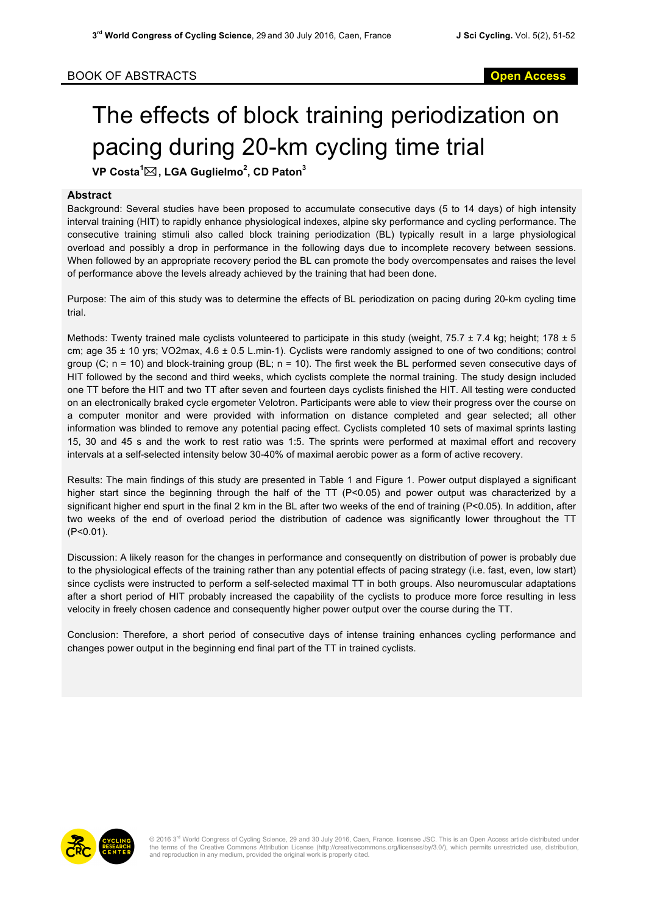## The effects of block training periodization on pacing during 20-km cycling time trial

**VP Costa<sup>1</sup>** \***, LGA Guglielmo<sup>2</sup> , CD Paton<sup>3</sup>**

## **Abstract**

Background: Several studies have been proposed to accumulate consecutive days (5 to 14 days) of high intensity interval training (HIT) to rapidly enhance physiological indexes, alpine sky performance and cycling performance. The consecutive training stimuli also called block training periodization (BL) typically result in a large physiological overload and possibly a drop in performance in the following days due to incomplete recovery between sessions. When followed by an appropriate recovery period the BL can promote the body overcompensates and raises the level of performance above the levels already achieved by the training that had been done.

Purpose: The aim of this study was to determine the effects of BL periodization on pacing during 20-km cycling time trial.

Methods: Twenty trained male cyclists volunteered to participate in this study (weight, 75.7  $\pm$  7.4 kg; height; 178  $\pm$  5 cm; age 35 ± 10 yrs; VO2max, 4.6 ± 0.5 L.min-1). Cyclists were randomly assigned to one of two conditions; control group  $(C; n = 10)$  and block-training group  $(BL; n = 10)$ . The first week the BL performed seven consecutive days of HIT followed by the second and third weeks, which cyclists complete the normal training. The study design included one TT before the HIT and two TT after seven and fourteen days cyclists finished the HIT. All testing were conducted on an electronically braked cycle ergometer Velotron. Participants were able to view their progress over the course on a computer monitor and were provided with information on distance completed and gear selected; all other information was blinded to remove any potential pacing effect. Cyclists completed 10 sets of maximal sprints lasting 15, 30 and 45 s and the work to rest ratio was 1:5. The sprints were performed at maximal effort and recovery intervals at a self-selected intensity below 30-40% of maximal aerobic power as a form of active recovery.

Results: The main findings of this study are presented in Table 1 and Figure 1. Power output displayed a significant higher start since the beginning through the half of the TT (P<0.05) and power output was characterized by a significant higher end spurt in the final 2 km in the BL after two weeks of the end of training (P<0.05). In addition, after two weeks of the end of overload period the distribution of cadence was significantly lower throughout the TT (P<0.01).

Discussion: A likely reason for the changes in performance and consequently on distribution of power is probably due to the physiological effects of the training rather than any potential effects of pacing strategy (i.e. fast, even, low start) since cyclists were instructed to perform a self-selected maximal TT in both groups. Also neuromuscular adaptations after a short period of HIT probably increased the capability of the cyclists to produce more force resulting in less velocity in freely chosen cadence and consequently higher power output over the course during the TT.

Conclusion: Therefore, a short period of consecutive days of intense training enhances cycling performance and changes power output in the beginning end final part of the TT in trained cyclists.